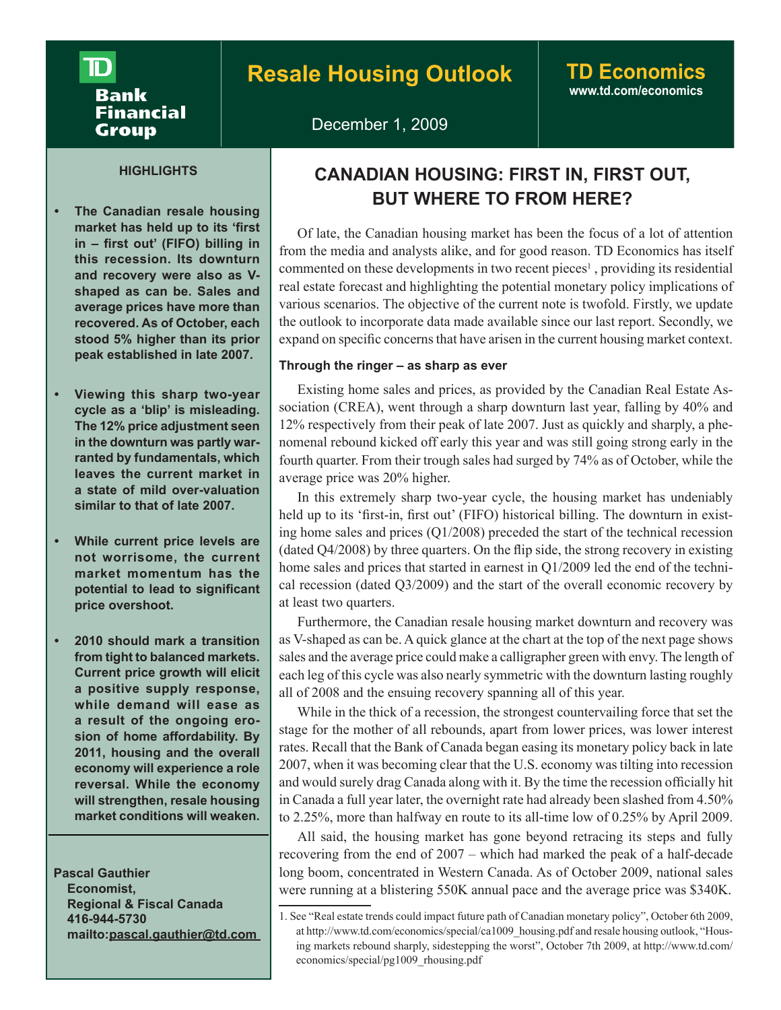# ID **Bank** Financial **Group**

# **www.td.com/economics**

December 1, 2009

## **HIGHLIGHTS**

- **The Canadian resale housing market has held up to its 'first in – first out' (FIFO) billing in this recession. Its downturn and recovery were also as Vshaped as can be. Sales and average prices have more than recovered. As of October, each stood 5% higher than its prior peak established in late 2007.**
- **Viewing this sharp two-year cycle as a 'blip' is misleading. The 12% price adjustment seen in the downturn was partly warranted by fundamentals, which leaves the current market in a state of mild over-valuation similar to that of late 2007.**
- **While current price levels are not worrisome, the current market momentum has the potential to lead to significant price overshoot.**
- **2010 should mark a transition from tight to balanced markets. Current price growth will elicit a positive supply response, while demand will ease as a result of the ongoing erosion of home affordability. By 2011, housing and the overall economy will experience a role reversal. While the economy will strengthen, resale housing market conditions will weaken.**

 **Pascal Gauthier Economist, Regional & Fiscal Canada 416-944-5730 mailto:pascal.gauthier@td.com** 

# **CANADIAN HOUSING: FIRST IN, FIRST OUT, BUT WHERE TO FROM HERE?**

Of late, the Canadian housing market has been the focus of a lot of attention from the media and analysts alike, and for good reason. TD Economics has itself commented on these developments in two recent pieces<sup>1</sup>, providing its residential real estate forecast and highlighting the potential monetary policy implications of various scenarios. The objective of the current note is twofold. Firstly, we update the outlook to incorporate data made available since our last report. Secondly, we expand on specific concerns that have arisen in the current housing market context.

## **Through the ringer – as sharp as ever**

Existing home sales and prices, as provided by the Canadian Real Estate Association (CREA), went through a sharp downturn last year, falling by 40% and 12% respectively from their peak of late 2007. Just as quickly and sharply, a phenomenal rebound kicked off early this year and was still going strong early in the fourth quarter. From their trough sales had surged by 74% as of October, while the average price was 20% higher.

In this extremely sharp two-year cycle, the housing market has undeniably held up to its 'first-in, first out' (FIFO) historical billing. The downturn in existing home sales and prices (Q1/2008) preceded the start of the technical recession  $($ dated  $Q4/2008)$  by three quarters. On the flip side, the strong recovery in existing home sales and prices that started in earnest in Q1/2009 led the end of the technical recession (dated Q3/2009) and the start of the overall economic recovery by at least two quarters.

Furthermore, the Canadian resale housing market downturn and recovery was as V-shaped as can be. A quick glance at the chart at the top of the next page shows sales and the average price could make a calligrapher green with envy. The length of each leg of this cycle was also nearly symmetric with the downturn lasting roughly all of 2008 and the ensuing recovery spanning all of this year.

While in the thick of a recession, the strongest countervailing force that set the stage for the mother of all rebounds, apart from lower prices, was lower interest rates. Recall that the Bank of Canada began easing its monetary policy back in late 2007, when it was becoming clear that the U.S. economy was tilting into recession and would surely drag Canada along with it. By the time the recession officially hit in Canada a full year later, the overnight rate had already been slashed from 4.50% to 2.25%, more than halfway en route to its all-time low of 0.25% by April 2009.

All said, the housing market has gone beyond retracing its steps and fully recovering from the end of 2007 – which had marked the peak of a half-decade long boom, concentrated in Western Canada. As of October 2009, national sales were running at a blistering 550K annual pace and the average price was \$340K.

<sup>1.</sup> See "Real estate trends could impact future path of Canadian monetary policy", October 6th 2009, at http://www.td.com/economics/special/ca1009\_housing.pdf and resale housing outlook, "Housing markets rebound sharply, sidestepping the worst", October 7th 2009, at http://www.td.com/ economics/special/pg1009\_rhousing.pdf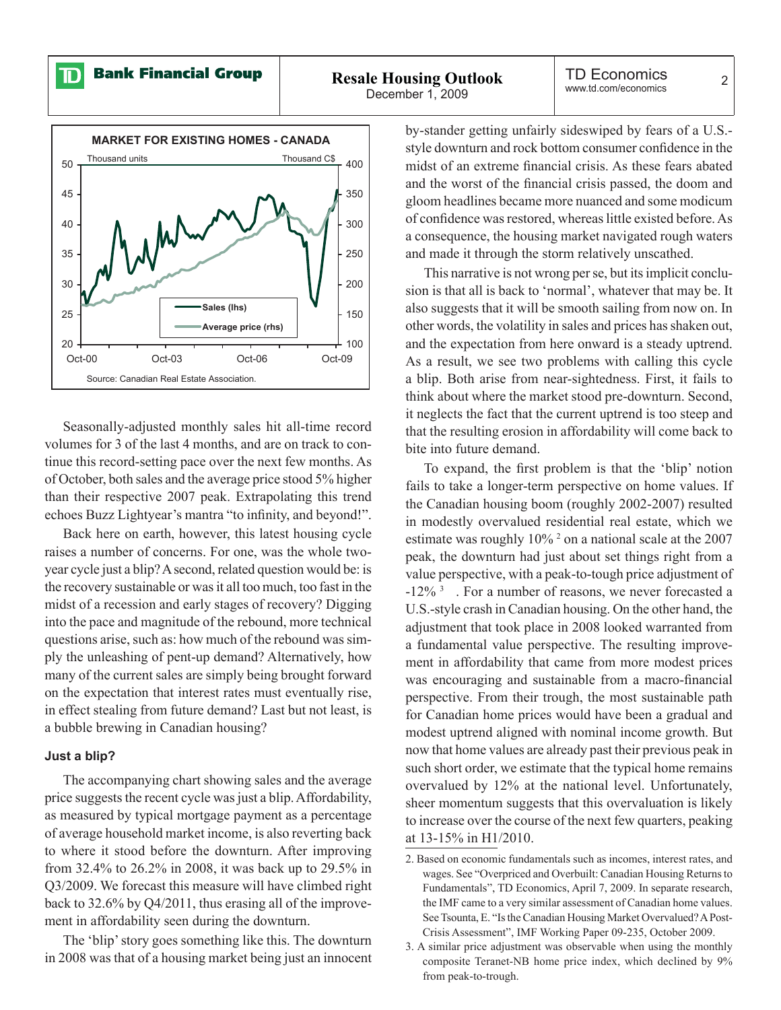**Bank Financial Group** 

ID

December 1, 2009

TD Economics ILU ECONOMICS<br>www.td.com/economics



Seasonally-adjusted monthly sales hit all-time record volumes for 3 of the last 4 months, and are on track to continue this record-setting pace over the next few months. As of October, both sales and the average price stood 5% higher than their respective 2007 peak. Extrapolating this trend echoes Buzz Lightyear's mantra "to infinity, and beyond!".

Back here on earth, however, this latest housing cycle raises a number of concerns. For one, was the whole twoyear cycle just a blip? A second, related question would be: is the recovery sustainable or was it all too much, too fast in the midst of a recession and early stages of recovery? Digging into the pace and magnitude of the rebound, more technical questions arise, such as: how much of the rebound was simply the unleashing of pent-up demand? Alternatively, how many of the current sales are simply being brought forward on the expectation that interest rates must eventually rise, in effect stealing from future demand? Last but not least, is a bubble brewing in Canadian housing?

#### **Just a blip?**

The accompanying chart showing sales and the average price suggests the recent cycle was just a blip. Affordability, as measured by typical mortgage payment as a percentage of average household market income, is also reverting back to where it stood before the downturn. After improving from 32.4% to 26.2% in 2008, it was back up to 29.5% in Q3/2009. We forecast this measure will have climbed right back to 32.6% by Q4/2011, thus erasing all of the improvement in affordability seen during the downturn.

The 'blip' story goes something like this. The downturn in 2008 was that of a housing market being just an innocent by-stander getting unfairly sideswiped by fears of a U.S. style downturn and rock bottom consumer confidence in the midst of an extreme financial crisis. As these fears abated and the worst of the financial crisis passed, the doom and gloom headlines became more nuanced and some modicum of confidence was restored, whereas little existed before. As a consequence, the housing market navigated rough waters and made it through the storm relatively unscathed.

This narrative is not wrong per se, but its implicit conclusion is that all is back to 'normal', whatever that may be. It also suggests that it will be smooth sailing from now on. In other words, the volatility in sales and prices has shaken out, and the expectation from here onward is a steady uptrend. As a result, we see two problems with calling this cycle a blip. Both arise from near-sightedness. First, it fails to think about where the market stood pre-downturn. Second, it neglects the fact that the current uptrend is too steep and that the resulting erosion in affordability will come back to bite into future demand.

To expand, the first problem is that the 'blip' notion fails to take a longer-term perspective on home values. If the Canadian housing boom (roughly 2002-2007) resulted in modestly overvalued residential real estate, which we estimate was roughly 10%<sup>2</sup> on a national scale at the 2007 peak, the downturn had just about set things right from a value perspective, with a peak-to-tough price adjustment of -12%<sup>3</sup> . For a number of reasons, we never forecasted a U.S.-style crash in Canadian housing. On the other hand, the adjustment that took place in 2008 looked warranted from a fundamental value perspective. The resulting improvement in affordability that came from more modest prices was encouraging and sustainable from a macro-financial perspective. From their trough, the most sustainable path for Canadian home prices would have been a gradual and modest uptrend aligned with nominal income growth. But now that home values are already past their previous peak in such short order, we estimate that the typical home remains overvalued by 12% at the national level. Unfortunately, sheer momentum suggests that this overvaluation is likely to increase over the course of the next few quarters, peaking at 13-15% in H1/2010.

<sup>2.</sup> Based on economic fundamentals such as incomes, interest rates, and wages. See "Overpriced and Overbuilt: Canadian Housing Returns to Fundamentals", TD Economics, April 7, 2009. In separate research, the IMF came to a very similar assessment of Canadian home values. See Tsounta, E. "Is the Canadian Housing Market Overvalued? A Post-Crisis Assessment", IMF Working Paper 09-235, October 2009.

<sup>3.</sup> A similar price adjustment was observable when using the monthly composite Teranet-NB home price index, which declined by 9% from peak-to-trough.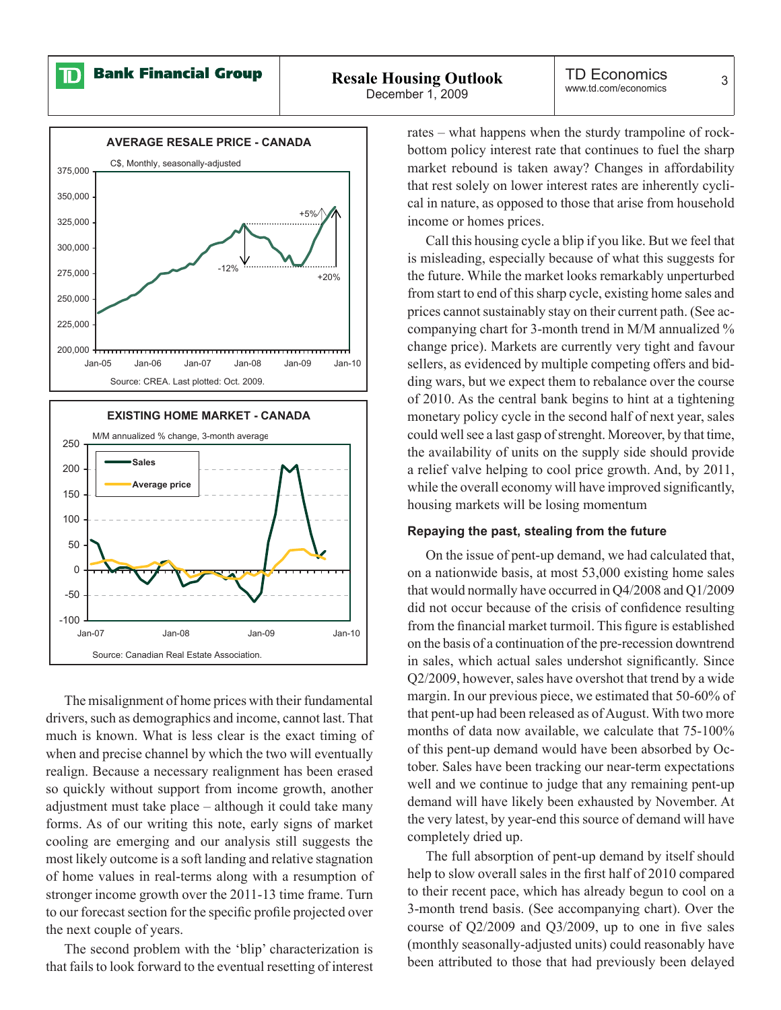ID

**Bank Financial Group** 

December 1, 2009



The misalignment of home prices with their fundamental drivers, such as demographics and income, cannot last. That much is known. What is less clear is the exact timing of when and precise channel by which the two will eventually realign. Because a necessary realignment has been erased so quickly without support from income growth, another adjustment must take place – although it could take many forms. As of our writing this note, early signs of market cooling are emerging and our analysis still suggests the most likely outcome is a soft landing and relative stagnation of home values in real-terms along with a resumption of stronger income growth over the 2011-13 time frame. Turn to our forecast section for the specific profile projected over the next couple of years.

The second problem with the 'blip' characterization is that fails to look forward to the eventual resetting of interest

rates – what happens when the sturdy trampoline of rockbottom policy interest rate that continues to fuel the sharp market rebound is taken away? Changes in affordability that rest solely on lower interest rates are inherently cyclical in nature, as opposed to those that arise from household income or homes prices.

Call this housing cycle a blip if you like. But we feel that is misleading, especially because of what this suggests for the future. While the market looks remarkably unperturbed from start to end of this sharp cycle, existing home sales and prices cannot sustainably stay on their current path. (See accompanying chart for 3-month trend in M/M annualized % change price). Markets are currently very tight and favour sellers, as evidenced by multiple competing offers and bidding wars, but we expect them to rebalance over the course of 2010. As the central bank begins to hint at a tightening monetary policy cycle in the second half of next year, sales could well see a last gasp of strenght. Moreover, by that time, the availability of units on the supply side should provide a relief valve helping to cool price growth. And, by 2011, while the overall economy will have improved significantly, housing markets will be losing momentum

#### **Repaying the past, stealing from the future**

On the issue of pent-up demand, we had calculated that, on a nationwide basis, at most 53,000 existing home sales that would normally have occurred in Q4/2008 and Q1/2009 did not occur because of the crisis of confidence resulting from the financial market turmoil. This figure is established on the basis of a continuation of the pre-recession downtrend in sales, which actual sales undershot significantly. Since Q2/2009, however, sales have overshot that trend by a wide margin. In our previous piece, we estimated that 50-60% of that pent-up had been released as of August. With two more months of data now available, we calculate that 75-100% of this pent-up demand would have been absorbed by October. Sales have been tracking our near-term expectations well and we continue to judge that any remaining pent-up demand will have likely been exhausted by November. At the very latest, by year-end this source of demand will have completely dried up.

The full absorption of pent-up demand by itself should help to slow overall sales in the first half of 2010 compared to their recent pace, which has already begun to cool on a 3-month trend basis. (See accompanying chart). Over the course of  $Q2/2009$  and  $Q3/2009$ , up to one in five sales (monthly seasonally-adjusted units) could reasonably have been attributed to those that had previously been delayed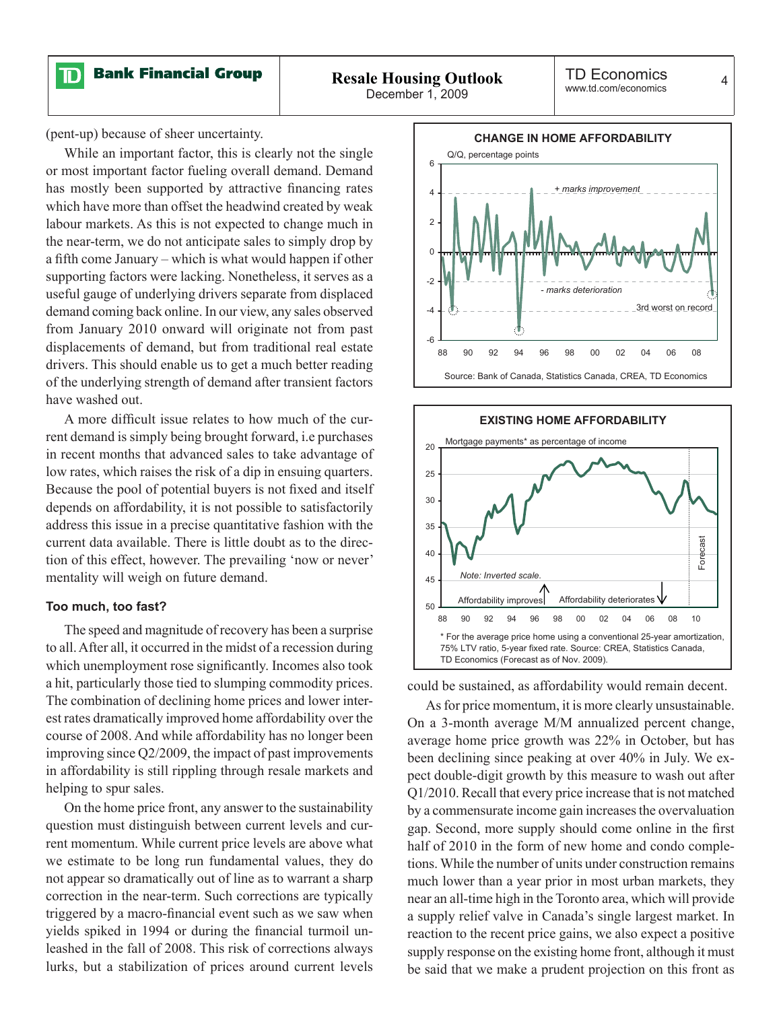

(pent-up) because of sheer uncertainty.

While an important factor, this is clearly not the single or most important factor fueling overall demand. Demand has mostly been supported by attractive financing rates which have more than offset the headwind created by weak labour markets. As this is not expected to change much in the near-term, we do not anticipate sales to simply drop by a fifth come January – which is what would happen if other supporting factors were lacking. Nonetheless, it serves as a useful gauge of underlying drivers separate from displaced demand coming back online. In our view, any sales observed from January 2010 onward will originate not from past displacements of demand, but from traditional real estate drivers. This should enable us to get a much better reading of the underlying strength of demand after transient factors have washed out.

A more difficult issue relates to how much of the current demand is simply being brought forward, i.e purchases in recent months that advanced sales to take advantage of low rates, which raises the risk of a dip in ensuing quarters. Because the pool of potential buyers is not fixed and itself depends on affordability, it is not possible to satisfactorily address this issue in a precise quantitative fashion with the current data available. There is little doubt as to the direction of this effect, however. The prevailing 'now or never' mentality will weigh on future demand.

#### **Too much, too fast?**

The speed and magnitude of recovery has been a surprise to all. After all, it occurred in the midst of a recession during which unemployment rose significantly. Incomes also took a hit, particularly those tied to slumping commodity prices. The combination of declining home prices and lower interest rates dramatically improved home affordability over the course of 2008. And while affordability has no longer been improving since Q2/2009, the impact of past improvements in affordability is still rippling through resale markets and helping to spur sales.

On the home price front, any answer to the sustainability question must distinguish between current levels and current momentum. While current price levels are above what we estimate to be long run fundamental values, they do not appear so dramatically out of line as to warrant a sharp correction in the near-term. Such corrections are typically triggered by a macro-financial event such as we saw when yields spiked in 1994 or during the financial turmoil unleashed in the fall of 2008. This risk of corrections always lurks, but a stabilization of prices around current levels





could be sustained, as affordability would remain decent.

As for price momentum, it is more clearly unsustainable. On a 3-month average M/M annualized percent change, average home price growth was 22% in October, but has been declining since peaking at over 40% in July. We expect double-digit growth by this measure to wash out after Q1/2010. Recall that every price increase that is not matched by a commensurate income gain increases the overvaluation gap. Second, more supply should come online in the first half of 2010 in the form of new home and condo completions. While the number of units under construction remains much lower than a year prior in most urban markets, they near an all-time high in the Toronto area, which will provide a supply relief valve in Canada's single largest market. In reaction to the recent price gains, we also expect a positive supply response on the existing home front, although it must be said that we make a prudent projection on this front as